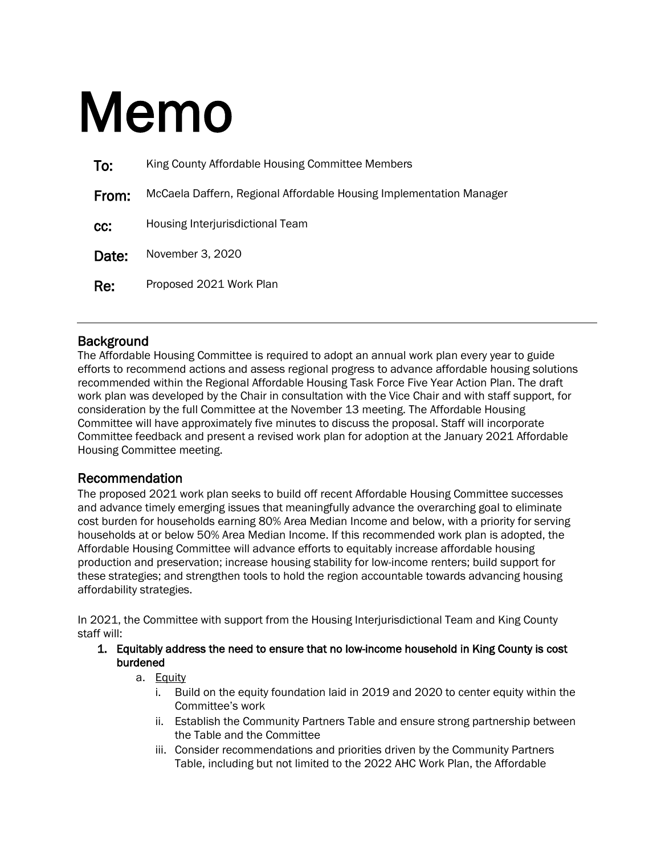# Memo

| To:   | King County Affordable Housing Committee Members                    |  |
|-------|---------------------------------------------------------------------|--|
| From: | McCaela Daffern, Regional Affordable Housing Implementation Manager |  |
| CC:   | Housing Interjurisdictional Team                                    |  |
| Date: | November 3, 2020                                                    |  |
| Re:   | Proposed 2021 Work Plan                                             |  |

## **Background**

The Affordable Housing Committee is required to adopt an annual work plan every year to guide efforts to recommend actions and assess regional progress to advance affordable housing solutions recommended within the Regional Affordable Housing Task Force Five Year Action Plan. The draft work plan was developed by the Chair in consultation with the Vice Chair and with staff support, for consideration by the full Committee at the November 13 meeting. The Affordable Housing Committee will have approximately five minutes to discuss the proposal. Staff will incorporate Committee feedback and present a revised work plan for adoption at the January 2021 Affordable Housing Committee meeting.

## Recommendation

The proposed 2021 work plan seeks to build off recent Affordable Housing Committee successes and advance timely emerging issues that meaningfully advance the overarching goal to eliminate cost burden for households earning 80% Area Median Income and below, with a priority for serving households at or below 50% Area Median Income. If this recommended work plan is adopted, the Affordable Housing Committee will advance efforts to equitably increase affordable housing production and preservation; increase housing stability for low-income renters; build support for these strategies; and strengthen tools to hold the region accountable towards advancing housing affordability strategies.

In 2021, the Committee with support from the Housing Interjurisdictional Team and King County staff will:

1. Equitably address the need to ensure that no low-income household in King County is cost burdened

#### a. Equity

- i. Build on the equity foundation laid in 2019 and 2020 to center equity within the Committee's work
- ii. Establish the Community Partners Table and ensure strong partnership between the Table and the Committee
- iii. Consider recommendations and priorities driven by the Community Partners Table, including but not limited to the 2022 AHC Work Plan, the Affordable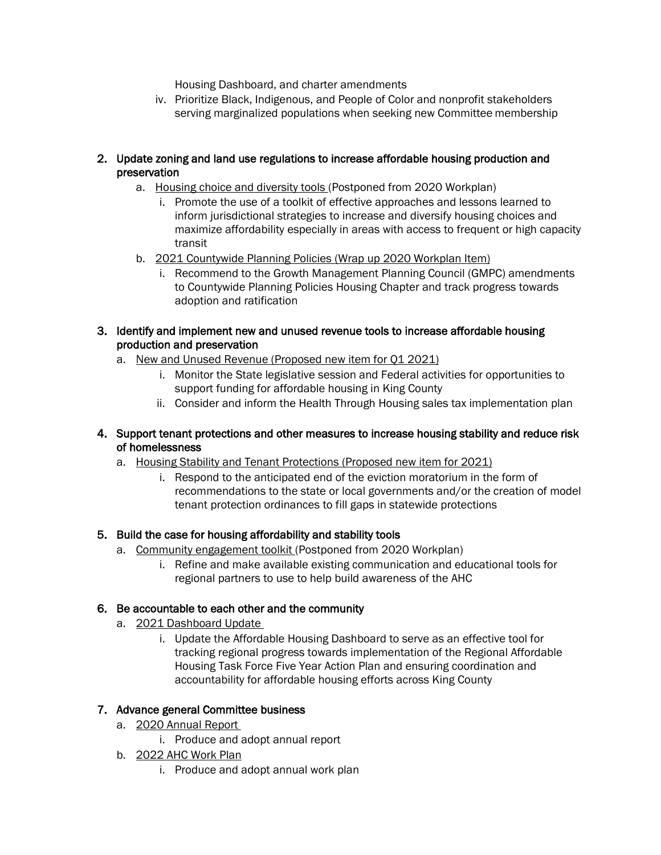Housing Dashboard, and charter amendments

iv. Prioritize Black, Indigenous, and People of Color and nonprofit stakeholders serving marginalized populations when seeking new Committee membership

#### 2. Update zoning and land use regulations to increase affordable housing production and preservation

- a. Housing choice and diversity tools (Postponed from 2020 Workplan)
	- i. Promote the use of a toolkit of effective approaches and lessons learned to inform jurisdictional strategies to increase and diversify housing choices and maximize affordability especially in areas with access to frequent or high capacity transit
- b. 2021 Countywide Planning Policies (Wrap up 2020 Workplan Item)
	- i. Recommend to the Growth Management Planning Council (GMPC) amendments to Countywide Planning Policies Housing Chapter and track progress towards adoption and ratification
- 3. Identify and implement new and unused revenue tools to increase affordable housing production and preservation
	- a. New and Unused Revenue (Proposed new item for Q1 2021)
		- i. Monitor the State legislative session and Federal activities for opportunities to support funding for affordable housing in King County
		- ii. Consider and inform the Health Through Housing sales tax implementation plan
- 4. Support tenant protections and other measures to increase housing stability and reduce risk of homelessness
	- a. Housing Stability and Tenant Protections (Proposed new item for 2021)
		- i. Respond to the anticipated end of the eviction moratorium in the form of recommendations to the state or local governments and/or the creation of model tenant protection ordinances to fill gaps in statewide protections

## 5. Build the case for housing affordability and stability tools

- a. Community engagement toolkit (Postponed from 2020 Workplan)
	- i. Refine and make available existing communication and educational tools for regional partners to use to help build awareness of the AHC

## 6. Be accountable to each other and the community

- a. 2021 Dashboard Update
	- i. Update the Affordable Housing Dashboard to serve as an effective tool for tracking regional progress towards implementation of the Regional Affordable Housing Task Force Five Year Action Plan and ensuring coordination and accountability for affordable housing efforts across King County

## 7. Advance general Committee business

- a. 2020 Annual Report
	- i. Produce and adopt annual report
- b. 2022 AHC Work Plan
	- i. Produce and adopt annual work plan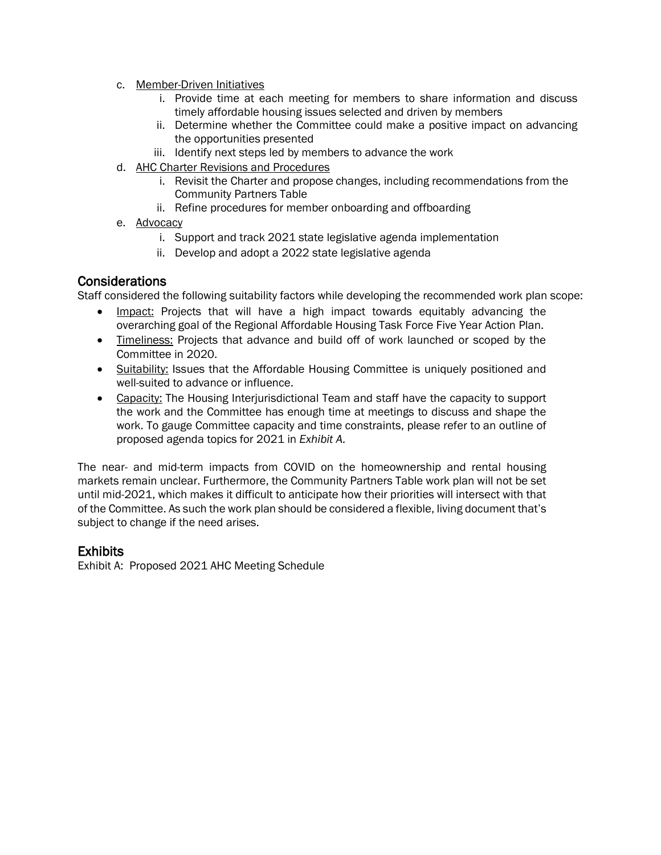- c. Member-Driven Initiatives
	- i. Provide time at each meeting for members to share information and discuss timely affordable housing issues selected and driven by members
	- ii. Determine whether the Committee could make a positive impact on advancing the opportunities presented
	- iii. Identify next steps led by members to advance the work
- d. AHC Charter Revisions and Procedures
	- i. Revisit the Charter and propose changes, including recommendations from the Community Partners Table
	- ii. Refine procedures for member onboarding and offboarding
- e. Advocacy
	- i. Support and track 2021 state legislative agenda implementation
	- ii. Develop and adopt a 2022 state legislative agenda

#### Considerations

Staff considered the following suitability factors while developing the recommended work plan scope:

- Impact: Projects that will have a high impact towards equitably advancing the overarching goal of the Regional Affordable Housing Task Force Five Year Action Plan.
- Timeliness: Projects that advance and build off of work launched or scoped by the Committee in 2020.
- Suitability: Issues that the Affordable Housing Committee is uniquely positioned and well-suited to advance or influence.
- Capacity: The Housing Interjurisdictional Team and staff have the capacity to support the work and the Committee has enough time at meetings to discuss and shape the work. To gauge Committee capacity and time constraints, please refer to an outline of proposed agenda topics for 2021 in *Exhibit A.*

The near- and mid-term impacts from COVID on the homeownership and rental housing markets remain unclear. Furthermore, the Community Partners Table work plan will not be set until mid-2021, which makes it difficult to anticipate how their priorities will intersect with that of the Committee. As such the work plan should be considered a flexible, living document that's subject to change if the need arises.

## Exhibits

Exhibit A: Proposed 2021 AHC Meeting Schedule